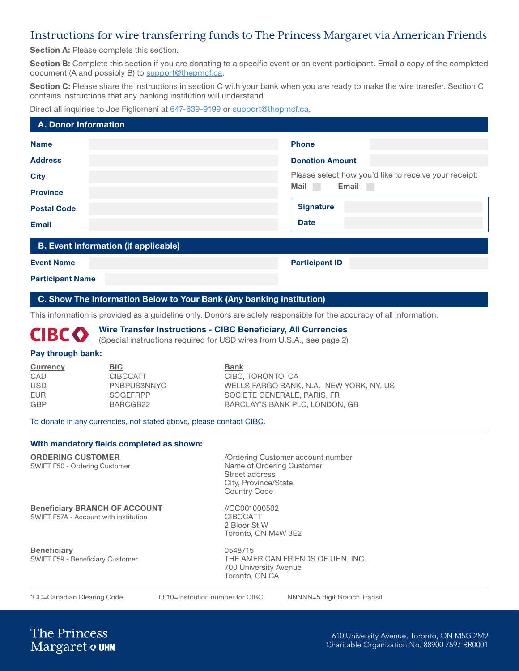## Instructions for wire transferring funds to The Princess Margaret via American Friends

Section A: Please complete this section.

Section B: Complete this section if you are donating to a specific event or an event participant. Email a copy of the completed document (A and possibly B) to [support@thepmcf.ca](mailto:support%40thepmcf.ca?subject=Wire%20transfer).

Section C: Please share the instructions in section C with your bank when you are ready to make the wire transfer. Section C contains instructions that any banking institution will understand.

#### Direct all inquiries to Joe Figliomeni at 647-639-9199 or [support@thepmcf.ca](mailto:support%40thepmcf.ca?subject=Wire%20transfer).

| <b>A. Donor Information</b>                 |  |                                                       |  |
|---------------------------------------------|--|-------------------------------------------------------|--|
| <b>Name</b>                                 |  | <b>Phone</b>                                          |  |
| <b>Address</b>                              |  | <b>Donation Amount</b>                                |  |
| <b>City</b>                                 |  | Please select how you'd like to receive your receipt: |  |
| <b>Province</b>                             |  | <b>Mail</b><br>Email<br>a sa                          |  |
| <b>Postal Code</b>                          |  | <b>Signature</b>                                      |  |
| <b>Email</b>                                |  | <b>Date</b>                                           |  |
| <b>B. Event Information (if applicable)</b> |  |                                                       |  |
| <b>Event Name</b>                           |  | <b>Participant ID</b>                                 |  |

Participant Name

#### C. Show The Information Below to Your Bank (Any banking institution)

This information is provided as a guideline only. Donors are solely responsible for the accuracy of all information.

#### Wire Transfer Instructions - CIBC Beneficiary, All Currencies **CIBCO**

(Special instructions required for USD wires from U.S.A., see page 2)

#### Pay through bank:

| <b>Currency</b> | <b>BIC</b>      | <b>Bank</b>                             |
|-----------------|-----------------|-----------------------------------------|
| CAD             | <b>CIBCCATT</b> | CIBC, TORONTO, CA                       |
| <b>USD</b>      | PNBPUS3NNYC     | WELLS FARGO BANK, N.A. NEW YORK, NY. US |
| <b>FUR</b>      | <b>SOGFFRPP</b> | SOCIETE GENERALE, PARIS, FR             |
| <b>GBP</b>      | BARCGB22        | BARCLAY'S BANK PLC, LONDON, GB          |

To donate in any currencies, not stated above, please contact CIBC.

#### With mandatory fields completed as shown:

SWIFT F50 - Ordering Customer

**ORDERING CUSTOMER** / Ordering Customer account number<br>
SWIFT F50 - Ordering Customer<br>
Name of Ordering Customer Street address City, Province/State Country Code

# **Beneficiary BRANCH OF ACCOUNT //CC001000502**<br>SWIFT F57A - Account with institution **CIBCCATT** CIBCCATT

SWIFT F57A - Account with institution

2 Bloor St W Toronto, ON M4W 3E2

Beneficiary 0548715

SWIFT F59 - Beneficiary Customer THE AMERICAN FRIENDS OF UHN, INC. 700 University Avenue Toronto, ON CA

\*CC=Canadian Clearing Code 0010=Institution number for CIBC NNNNN=5 digit Branch Transit

**The Princess** Margaret & UHN